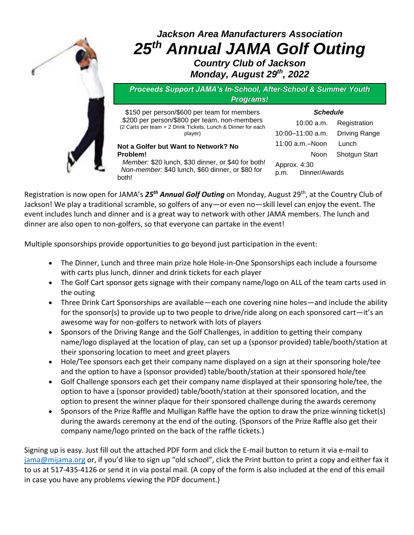

## *Jackson Area Manufacturers Association 25th Annual JAMA Golf Outing Country Club of Jackson*

*Monday, August 29th, 2022*

*Proceeds Support JAMA's In-School, After-School & Summer Youth Programs!*

\$150 per person/\$600 per team for members \$200 per person/\$800 per team, non-members (2 Carts per team + 2 Drink Tickets, Lunch & Dinner for each player)

**Not a Golfer but Want to Network? No Problem!**

 *Member:* \$20 lunch, \$30 dinner, or \$40 for both! *Non-member:* \$40 lunch, \$60 dinner, or \$80 for both!

| 10:00 a.m.                            | Registration  |  |
|---------------------------------------|---------------|--|
| $10:00 - 11:00$ a.m.                  | Driving Range |  |
| $11:00$ a.m. $-$ Noon                 | Lunch         |  |
| Noon                                  | Shotgun Start |  |
| Approx. 4:30<br>Dinner/Awards<br>p.m. |               |  |

*Schedule*

Registration is now open for JAMA's 25<sup>th</sup> Annual Golf Outing on Monday, August 29<sup>th</sup>, at the Country Club of Jackson! We play a traditional scramble, so golfers of any—or even no—skill level can enjoy the event. The event includes lunch and dinner and is a great way to network with other JAMA members. The lunch and dinner are also open to non-golfers, so that everyone can partake in the event!

Multiple sponsorships provide opportunities to go beyond just participation in the event:

- The Dinner, Lunch and three main prize hole Hole-in-One Sponsorships each include a foursome with carts plus lunch, dinner and drink tickets for each player
- The Golf Cart sponsor gets signage with their company name/logo on ALL of the team carts used in the outing
- Three Drink Cart Sponsorships are available—each one covering nine holes—and include the ability for the sponsor(s) to provide up to two people to drive/ride along on each sponsored cart—it's an awesome way for non-golfers to network with lots of players
- Sponsors of the Driving Range and the Golf Challenges, in addition to getting their company name/logo displayed at the location of play, can set up a (sponsor provided) table/booth/station at their sponsoring location to meet and greet players
- Hole/Tee sponsors each get their company name displayed on a sign at their sponsoring hole/tee and the option to have a (sponsor provided) table/booth/station at their sponsored hole/tee
- Golf Challenge sponsors each get their company name displayed at their sponsoring hole/tee, the option to have a (sponsor provided) table/booth/station at their sponsored location, and the option to present the winner plaque for their sponsored challenge during the awards ceremony
- Sponsors of the Prize Raffle and Mulligan Raffle have the option to draw the prize winning ticket(s) during the awards ceremony at the end of the outing. (Sponsors of the Prize Raffle also get their company name/logo printed on the back of the raffle tickets.)

Signing up is easy. Just fill out the attached PDF form and click the E-mail button to return it via e-mail to [jama@mijama.org](mailto:jama@mijama.org) or, if you'd like to sign up "old school", click the Print button to print a copy and either fax it to us at 517-435-4126 or send it in via postal mail. (A copy of the form is also included at the end of this email in case you have any problems viewing the PDF document.)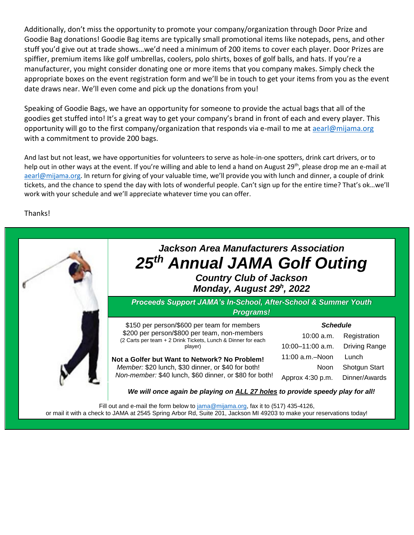Additionally, don't miss the opportunity to promote your company/organization through Door Prize and Goodie Bag donations! Goodie Bag items are typically small promotional items like notepads, pens, and other stuff you'd give out at trade shows…we'd need a minimum of 200 items to cover each player. Door Prizes are spiffier, premium items like golf umbrellas, coolers, polo shirts, boxes of golf balls, and hats. If you're a manufacturer, you might consider donating one or more items that you company makes. Simply check the appropriate boxes on the event registration form and we'll be in touch to get your items from you as the event date draws near. We'll even come and pick up the donations from you!

Speaking of Goodie Bags, we have an opportunity for someone to provide the actual bags that all of the goodies get stuffed into! It's a great way to get your company's brand in front of each and every player. This opportunity will go to the first company/organization that responds via e-mail to me at [aearl@mijama.org](mailto:aearl@mijama.org) with a commitment to provide 200 bags.

And last but not least, we have opportunities for volunteers to serve as hole-in-one spotters, drink cart drivers, or to help out in other ways at the event. If you're willing and able to lend a hand on August 29<sup>th</sup>, please drop me an e-mail at [aearl@mijama.org](mailto:aearl@mijama.org). In return for giving of your valuable time, we'll provide you with lunch and dinner, a couple of drink tickets, and the chance to spend the day with lots of wonderful people. Can't sign up for the entire time? That's ok…we'll work with your schedule and we'll appreciate whatever time you can offer.

Thanks!